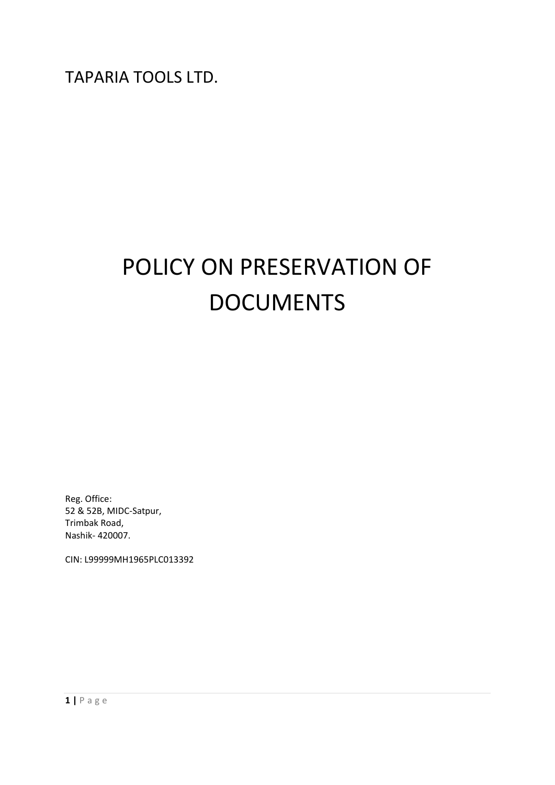# POLICY ON PRESERVATION OF DOCUMENTS

Reg. Office: 52 & 52B, MIDC-Satpur, Trimbak Road, Nashik- 420007.

CIN: L99999MH1965PLC013392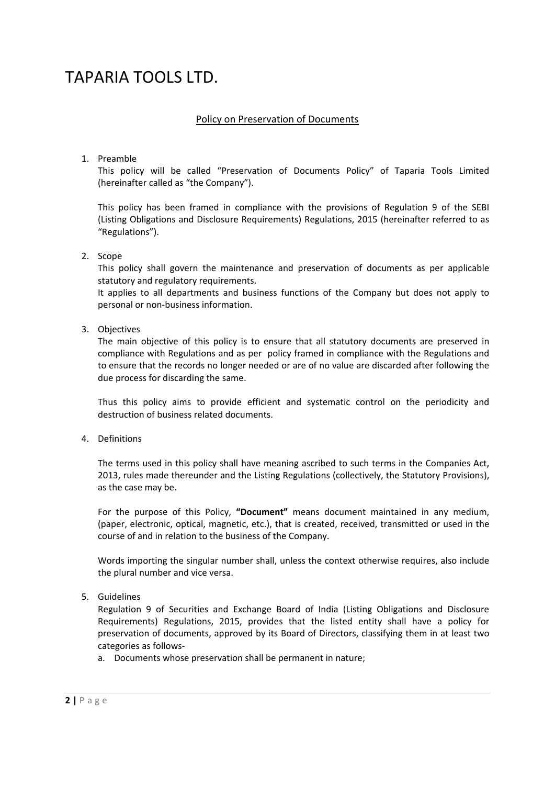# Policy on Preservation of Documents

1. Preamble

This policy will be called "Preservation of Documents Policy" of Taparia Tools Limited (hereinafter called as "the Company").

This policy has been framed in compliance with the provisions of Regulation 9 of the SEBI (Listing Obligations and Disclosure Requirements) Regulations, 2015 (hereinafter referred to as "Regulations").

### 2. Scope

This policy shall govern the maintenance and preservation of documents as per applicable statutory and regulatory requirements.

It applies to all departments and business functions of the Company but does not apply to personal or non-business information.

### 3. Objectives

The main objective of this policy is to ensure that all statutory documents are preserved in compliance with Regulations and as per policy framed in compliance with the Regulations and to ensure that the records no longer needed or are of no value are discarded after following the due process for discarding the same.

Thus this policy aims to provide efficient and systematic control on the periodicity and destruction of business related documents.

4. Definitions

The terms used in this policy shall have meaning ascribed to such terms in the Companies Act, 2013, rules made thereunder and the Listing Regulations (collectively, the Statutory Provisions), as the case may be.

For the purpose of this Policy, **"Document"** means document maintained in any medium, (paper, electronic, optical, magnetic, etc.), that is created, received, transmitted or used in the course of and in relation to the business of the Company.

Words importing the singular number shall, unless the context otherwise requires, also include the plural number and vice versa.

### 5. Guidelines

Regulation 9 of Securities and Exchange Board of India (Listing Obligations and Disclosure Requirements) Regulations, 2015, provides that the listed entity shall have a policy for preservation of documents, approved by its Board of Directors, classifying them in at least two categories as follows-

a. Documents whose preservation shall be permanent in nature;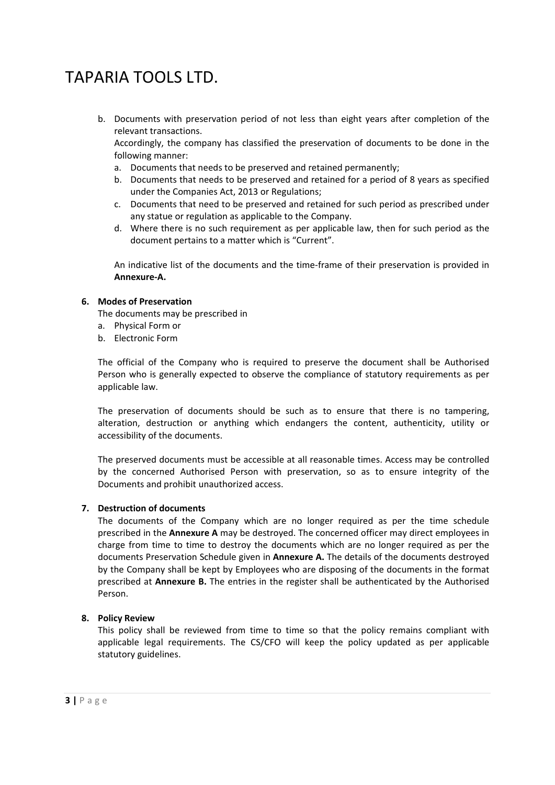b. Documents with preservation period of not less than eight years after completion of the relevant transactions.

Accordingly, the company has classified the preservation of documents to be done in the following manner:

- a. Documents that needs to be preserved and retained permanently;
- b. Documents that needs to be preserved and retained for a period of 8 years as specified under the Companies Act, 2013 or Regulations;
- c. Documents that need to be preserved and retained for such period as prescribed under any statue or regulation as applicable to the Company.
- d. Where there is no such requirement as per applicable law, then for such period as the document pertains to a matter which is "Current".

An indicative list of the documents and the time-frame of their preservation is provided in **Annexure-A.** 

# **6. Modes of Preservation**

The documents may be prescribed in

- a. Physical Form or
- b. Electronic Form

The official of the Company who is required to preserve the document shall be Authorised Person who is generally expected to observe the compliance of statutory requirements as per applicable law.

The preservation of documents should be such as to ensure that there is no tampering, alteration, destruction or anything which endangers the content, authenticity, utility or accessibility of the documents.

The preserved documents must be accessible at all reasonable times. Access may be controlled by the concerned Authorised Person with preservation, so as to ensure integrity of the Documents and prohibit unauthorized access.

### **7. Destruction of documents**

The documents of the Company which are no longer required as per the time schedule prescribed in the **Annexure A** may be destroyed. The concerned officer may direct employees in charge from time to time to destroy the documents which are no longer required as per the documents Preservation Schedule given in **Annexure A.** The details of the documents destroyed by the Company shall be kept by Employees who are disposing of the documents in the format prescribed at **Annexure B.** The entries in the register shall be authenticated by the Authorised Person.

### **8. Policy Review**

This policy shall be reviewed from time to time so that the policy remains compliant with applicable legal requirements. The CS/CFO will keep the policy updated as per applicable statutory guidelines.